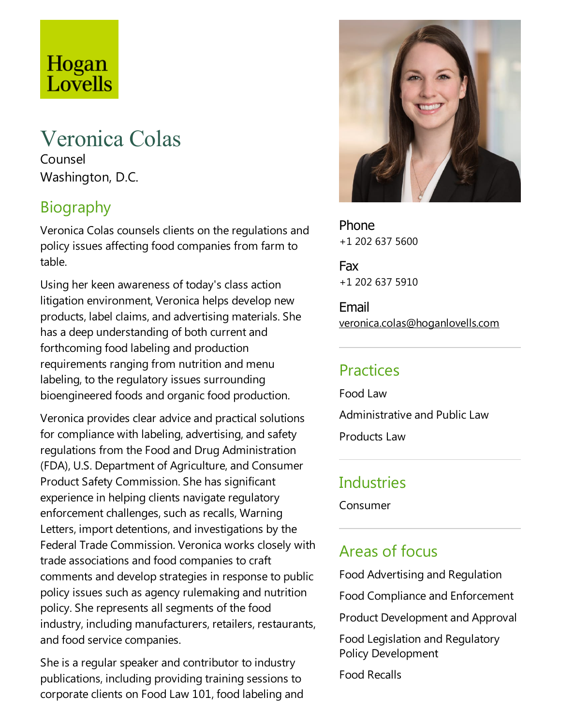# Hogan Lovells

# Veronica Colas

Counsel Washington, D.C.

# Biography

Veronica Colas counsels clients on the regulations and policy issues affecting food companies from farm to table.

Using her keen awareness of today's class action litigation environment, Veronica helps develop new products, label claims, and advertising materials. She has a deep understanding of both current and forthcoming food labeling and production requirements ranging from nutrition and menu labeling, to the regulatory issues surrounding bioengineered foods and organic food production.

Veronica provides clear advice and practical solutions for compliance with labeling, advertising, and safety regulations from the Food and Drug Administration (FDA), U.S. Department of Agriculture, and Consumer Product Safety Commission. She has significant experience in helping clients navigate regulatory enforcement challenges, such as recalls, Warning Letters, import detentions, and investigations by the Federal Trade Commission. Veronica works closely with trade associations and food companies to craft comments and develop strategies in response to public policy issues such as agency rulemaking and nutrition policy. She represents all segments of the food industry, including manufacturers, retailers, restaurants, and food service companies.

She is a regular speaker and contributor to industry publications, including providing training sessions to corporate clients on Food Law 101, food labeling and



Phone +1 202 637 5600

Fax +1 202 637 5910

Email veronica.colas@hoganlovells.com

# **Practices**

Food Law

Administrative and Public Law

Products Law

#### **Industries**

Consumer

# Areas of focus

Food Advertising and Regulation

Food Compliance and Enforcement

Product Development and Approval

Food Legislation and Regulatory Policy Development

Food Recalls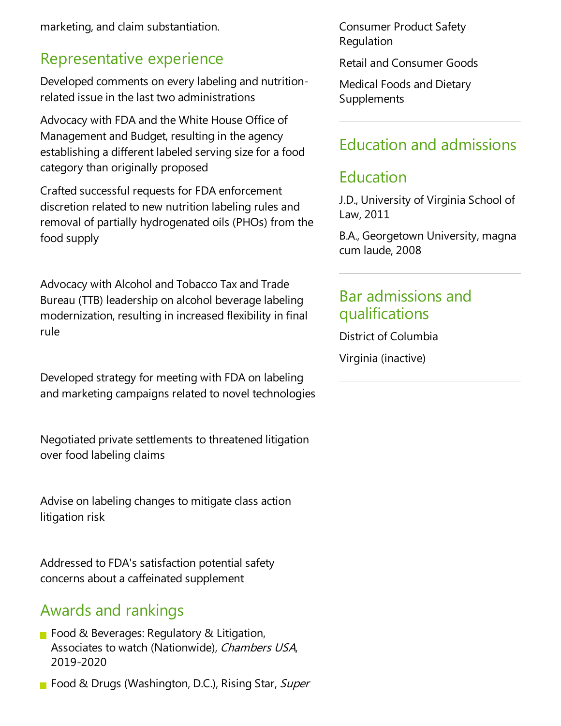marketing, and claim substantiation.

### Representative experience

Developed comments on every labeling and nutritionrelated issue in the last two administrations

Advocacy with FDA and the White House Office of Management and Budget, resulting in the agency establishing a different labeled serving size for a food category than originally proposed

Crafted successful requests for FDA enforcement discretion related to new nutrition labeling rules and removal of partially hydrogenated oils (PHOs) from the food supply

Advocacy with Alcohol and Tobacco Taxand Trade Bureau (TTB) leadership on alcohol beverage labeling modernization, resulting in increased flexibility in final rule

Developed strategy for meeting with FDA on labeling and marketing campaigns related to novel technologies

Negotiated private settlements to threatened litigation over food labeling claims

Advise on labeling changes to mitigate class action litigation risk

Addressed to FDA's satisfaction potential safety concerns about a caffeinated supplement

# Awards and rankings

- Food & Beverages: Regulatory & Litigation, Associates to watch (Nationwide), Chambers USA, 2019-2020
- Food & Drugs (Washington, D.C.), Rising Star, Super

Consumer Product Safety Regulation

Retail and Consumer Goods

Medical Foods and Dietary **Supplements** 

# Education and admissions

# Education

J.D., University of Virginia School of Law, 2011

B.A., Georgetown University, magna cum laude, 2008

# Bar admissions and qualifications

District of Columbia

Virginia (inactive)